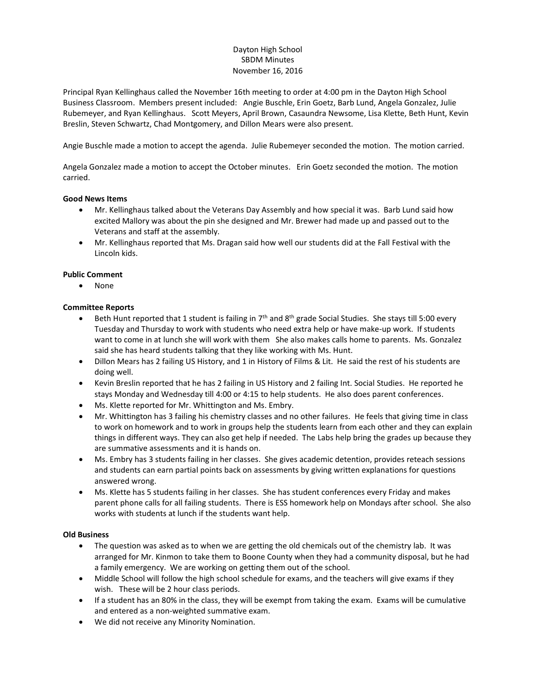# Dayton High School SBDM Minutes November 16, 2016

Principal Ryan Kellinghaus called the November 16th meeting to order at 4:00 pm in the Dayton High School Business Classroom. Members present included: Angie Buschle, Erin Goetz, Barb Lund, Angela Gonzalez, Julie Rubemeyer, and Ryan Kellinghaus. Scott Meyers, April Brown, Casaundra Newsome, Lisa Klette, Beth Hunt, Kevin Breslin, Steven Schwartz, Chad Montgomery, and Dillon Mears were also present.

Angie Buschle made a motion to accept the agenda. Julie Rubemeyer seconded the motion. The motion carried.

Angela Gonzalez made a motion to accept the October minutes. Erin Goetz seconded the motion. The motion carried.

### **Good News Items**

- Mr. Kellinghaus talked about the Veterans Day Assembly and how special it was. Barb Lund said how excited Mallory was about the pin she designed and Mr. Brewer had made up and passed out to the Veterans and staff at the assembly.
- Mr. Kellinghaus reported that Ms. Dragan said how well our students did at the Fall Festival with the Lincoln kids.

### **Public Comment**

• None

### **Committee Reports**

- **Beth Hunt reported that 1 student is failing in 7th and 8th grade Social Studies. She stays till 5:00 every** Tuesday and Thursday to work with students who need extra help or have make-up work. If students want to come in at lunch she will work with them She also makes calls home to parents. Ms. Gonzalez said she has heard students talking that they like working with Ms. Hunt.
- Dillon Mears has 2 failing US History, and 1 in History of Films & Lit. He said the rest of his students are doing well.
- Kevin Breslin reported that he has 2 failing in US History and 2 failing Int. Social Studies. He reported he stays Monday and Wednesday till 4:00 or 4:15 to help students. He also does parent conferences.
- Ms. Klette reported for Mr. Whittington and Ms. Embry.
- Mr. Whittington has 3 failing his chemistry classes and no other failures. He feels that giving time in class to work on homework and to work in groups help the students learn from each other and they can explain things in different ways. They can also get help if needed. The Labs help bring the grades up because they are summative assessments and it is hands on.
- Ms. Embry has 3 students failing in her classes. She gives academic detention, provides reteach sessions and students can earn partial points back on assessments by giving written explanations for questions answered wrong.
- Ms. Klette has 5 students failing in her classes. She has student conferences every Friday and makes parent phone calls for all failing students. There is ESS homework help on Mondays after school. She also works with students at lunch if the students want help.

#### **Old Business**

- The question was asked as to when we are getting the old chemicals out of the chemistry lab. It was arranged for Mr. Kinmon to take them to Boone County when they had a community disposal, but he had a family emergency. We are working on getting them out of the school.
- Middle School will follow the high school schedule for exams, and the teachers will give exams if they wish. These will be 2 hour class periods.
- If a student has an 80% in the class, they will be exempt from taking the exam. Exams will be cumulative and entered as a non-weighted summative exam.
- We did not receive any Minority Nomination.